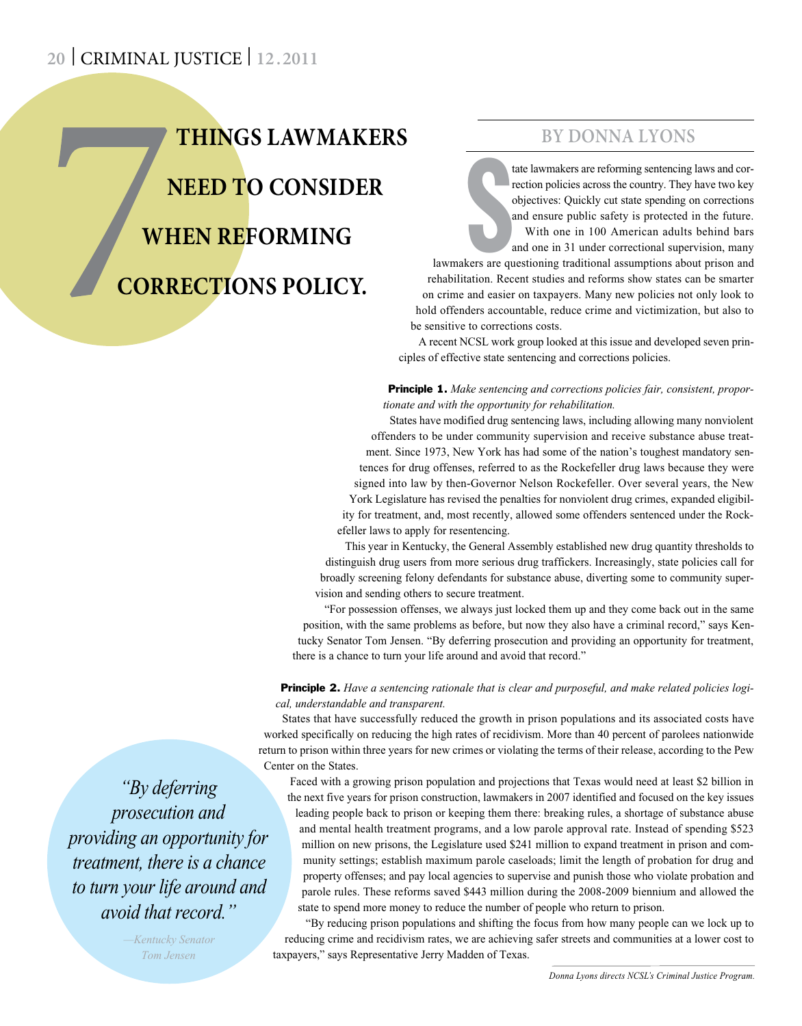# **THINGS LAWMAKERS**

# **NEED TO CONSIDER WHEN REFORMING CORRECTIONS POLICY.**

### **By Donna Lyons**

Sers are qu tate lawmakers are reforming sentencing laws and correction policies across the country. They have two key objectives: Quickly cut state spending on corrections and ensure public safety is protected in the future. With one in 100 American adults behind bars and one in 31 under correctional supervision, many

lawmakers are questioning traditional assumptions about prison and rehabilitation. Recent studies and reforms show states can be smarter on crime and easier on taxpayers. Many new policies not only look to hold offenders accountable, reduce crime and victimization, but also to be sensitive to corrections costs.

A recent NCSL work group looked at this issue and developed seven principles of effective state sentencing and corrections policies.

Principle 1. *Make sentencing and corrections policies fair, consistent, proportionate and with the opportunity for rehabilitation.* 

States have modified drug sentencing laws, including allowing many nonviolent offenders to be under community supervision and receive substance abuse treatment. Since 1973, New York has had some of the nation's toughest mandatory sentences for drug offenses, referred to as the Rockefeller drug laws because they were signed into law by then-Governor Nelson Rockefeller. Over several years, the New York Legislature has revised the penalties for nonviolent drug crimes, expanded eligibility for treatment, and, most recently, allowed some offenders sentenced under the Rockefeller laws to apply for resentencing.

This year in Kentucky, the General Assembly established new drug quantity thresholds to distinguish drug users from more serious drug traffickers. Increasingly, state policies call for broadly screening felony defendants for substance abuse, diverting some to community supervision and sending others to secure treatment.

 "For possession offenses, we always just locked them up and they come back out in the same position, with the same problems as before, but now they also have a criminal record," says Kentucky Senator Tom Jensen. "By deferring prosecution and providing an opportunity for treatment, there is a chance to turn your life around and avoid that record."

#### Principle 2. *Have a sentencing rationale that is clear and purposeful, and make related policies logical, understandable and transparent.*

States that have successfully reduced the growth in prison populations and its associated costs have worked specifically on reducing the high rates of recidivism. More than 40 percent of parolees nationwide return to prison within three years for new crimes or violating the terms of their release, according to the Pew Center on the States.

Faced with a growing prison population and projections that Texas would need at least \$2 billion in the next five years for prison construction, lawmakers in 2007 identified and focused on the key issues leading people back to prison or keeping them there: breaking rules, a shortage of substance abuse and mental health treatment programs, and a low parole approval rate. Instead of spending \$523 million on new prisons, the Legislature used \$241 million to expand treatment in prison and community settings; establish maximum parole caseloads; limit the length of probation for drug and property offenses; and pay local agencies to supervise and punish those who violate probation and parole rules. These reforms saved \$443 million during the 2008-2009 biennium and allowed the state to spend more money to reduce the number of people who return to prison.

"By reducing prison populations and shifting the focus from how many people can we lock up to reducing crime and recidivism rates, we are achieving safer streets and communities at a lower cost to taxpayers," says Representative Jerry Madden of Texas.

*"By deferring prosecution and providing an opportunity for treatment, there is a chance to turn your life around and avoid that record."*

> *—Kentucky Senator Tom Jensen*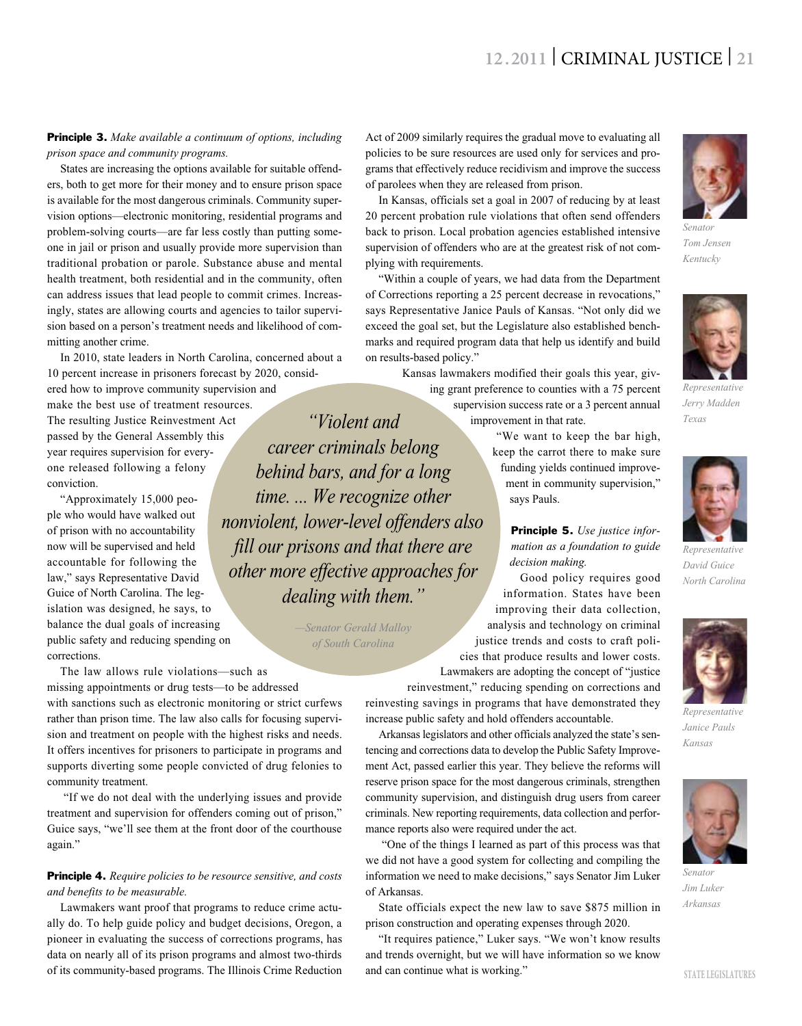Principle 3. *Make available a continuum of options, including prison space and community programs.*

States are increasing the options available for suitable offenders, both to get more for their money and to ensure prison space is available for the most dangerous criminals. Community supervision options—electronic monitoring, residential programs and problem-solving courts—are far less costly than putting someone in jail or prison and usually provide more supervision than traditional probation or parole. Substance abuse and mental health treatment, both residential and in the community, often can address issues that lead people to commit crimes. Increasingly, states are allowing courts and agencies to tailor supervision based on a person's treatment needs and likelihood of committing another crime.

In 2010, state leaders in North Carolina, concerned about a 10 percent increase in prisoners forecast by 2020, consid-

ered how to improve community supervision and make the best use of treatment resources. The resulting Justice Reinvestment Act passed by the General Assembly this year requires supervision for everyone released following a felony conviction.

"Approximately 15,000 people who would have walked out of prison with no accountability now will be supervised and held accountable for following the law," says Representative David Guice of North Carolina. The legislation was designed, he says, to balance the dual goals of increasing public safety and reducing spending on corrections.

community treatment.

*and benefits to be measurable.*

again."

The law allows rule violations—such as missing appointments or drug tests—to be addressed

with sanctions such as electronic monitoring or strict curfews rather than prison time. The law also calls for focusing supervision and treatment on people with the highest risks and needs. It offers incentives for prisoners to participate in programs and supports diverting some people convicted of drug felonies to

 "If we do not deal with the underlying issues and provide treatment and supervision for offenders coming out of prison," Guice says, "we'll see them at the front door of the courthouse

Principle 4. *Require policies to be resource sensitive, and costs* 

Lawmakers want proof that programs to reduce crime actually do. To help guide policy and budget decisions, Oregon, a pioneer in evaluating the success of corrections programs, has data on nearly all of its prison programs and almost two-thirds of its community-based programs. The Illinois Crime Reduction

*"Violent and career criminals belong behind bars, and for a long time. ... We recognize other nonviolent, lower-level offenders also fill our prisons and that there are other more effective approaches for dealing with them."*

> *—Senator Gerald Malloy of South Carolina*

Act of 2009 similarly requires the gradual move to evaluating all policies to be sure resources are used only for services and programs that effectively reduce recidivism and improve the success of parolees when they are released from prison.

In Kansas, officials set a goal in 2007 of reducing by at least 20 percent probation rule violations that often send offenders back to prison. Local probation agencies established intensive supervision of offenders who are at the greatest risk of not complying with requirements.

"Within a couple of years, we had data from the Department of Corrections reporting a 25 percent decrease in revocations," says Representative Janice Pauls of Kansas. "Not only did we exceed the goal set, but the Legislature also established benchmarks and required program data that help us identify and build on results-based policy."

> Kansas lawmakers modified their goals this year, giving grant preference to counties with a 75 percent supervision success rate or a 3 percent annual improvement in that rate.

> > "We want to keep the bar high, keep the carrot there to make sure funding yields continued improvement in community supervision," says Pauls.

Principle 5. *Use justice information as a foundation to guide decision making.*

Good policy requires good information. States have been improving their data collection, analysis and technology on criminal justice trends and costs to craft policies that produce results and lower costs. Lawmakers are adopting the concept of "justice

reinvestment," reducing spending on corrections and reinvesting savings in programs that have demonstrated they increase public safety and hold offenders accountable.

Arkansas legislators and other officials analyzed the state's sentencing and corrections data to develop the Public Safety Improvement Act, passed earlier this year. They believe the reforms will reserve prison space for the most dangerous criminals, strengthen community supervision, and distinguish drug users from career criminals. New reporting requirements, data collection and performance reports also were required under the act.

 "One of the things I learned as part of this process was that we did not have a good system for collecting and compiling the information we need to make decisions," says Senator Jim Luker of Arkansas.

State officials expect the new law to save \$875 million in prison construction and operating expenses through 2020.

"It requires patience," Luker says. "We won't know results and trends overnight, but we will have information so we know and can continue what is working."



*Senator Tom Jensen Kentucky*



*Representative Jerry Madden Texas*



*Representative David Guice North Carolina*



*Representative Janice Pauls Kansas*



*Senator Jim Luker Arkansas*